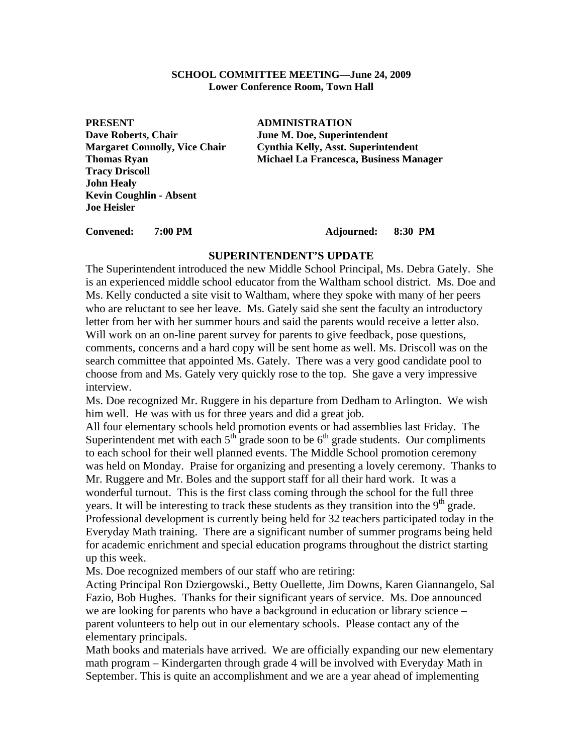#### **SCHOOL COMMITTEE MEETING—June 24, 2009 Lower Conference Room, Town Hall**

**PRESENT ADMINISTRATION** Dave Roberts, Chair **June M. Doe, Superintendent Tracy Driscoll John Healy Kevin Coughlin - Absent Joe Heisler** 

**Margaret Connolly, Vice Chair Cynthia Kelly, Asst. Superintendent Thomas Ryan Michael La Francesca, Business Manager** 

**Convened: 7:00 PM Adjourned: 8:30 PM** 

#### **SUPERINTENDENT'S UPDATE**

The Superintendent introduced the new Middle School Principal, Ms. Debra Gately. She is an experienced middle school educator from the Waltham school district. Ms. Doe and Ms. Kelly conducted a site visit to Waltham, where they spoke with many of her peers who are reluctant to see her leave. Ms. Gately said she sent the faculty an introductory letter from her with her summer hours and said the parents would receive a letter also. Will work on an on-line parent survey for parents to give feedback, pose questions, comments, concerns and a hard copy will be sent home as well. Ms. Driscoll was on the search committee that appointed Ms. Gately. There was a very good candidate pool to choose from and Ms. Gately very quickly rose to the top. She gave a very impressive interview.

Ms. Doe recognized Mr. Ruggere in his departure from Dedham to Arlington. We wish him well. He was with us for three years and did a great job.

All four elementary schools held promotion events or had assemblies last Friday. The Superintendent met with each  $5<sup>th</sup>$  grade soon to be  $6<sup>th</sup>$  grade students. Our compliments to each school for their well planned events. The Middle School promotion ceremony was held on Monday. Praise for organizing and presenting a lovely ceremony. Thanks to Mr. Ruggere and Mr. Boles and the support staff for all their hard work. It was a wonderful turnout. This is the first class coming through the school for the full three years. It will be interesting to track these students as they transition into the 9<sup>th</sup> grade. Professional development is currently being held for 32 teachers participated today in the Everyday Math training. There are a significant number of summer programs being held for academic enrichment and special education programs throughout the district starting up this week.

Ms. Doe recognized members of our staff who are retiring:

Acting Principal Ron Dziergowski., Betty Ouellette, Jim Downs, Karen Giannangelo, Sal Fazio, Bob Hughes. Thanks for their significant years of service. Ms. Doe announced we are looking for parents who have a background in education or library science – parent volunteers to help out in our elementary schools. Please contact any of the elementary principals.

Math books and materials have arrived. We are officially expanding our new elementary math program – Kindergarten through grade 4 will be involved with Everyday Math in September. This is quite an accomplishment and we are a year ahead of implementing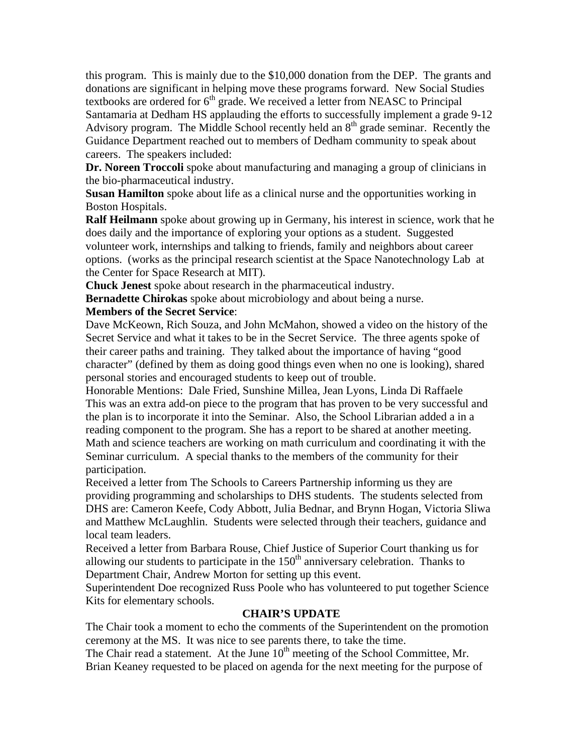this program. This is mainly due to the \$10,000 donation from the DEP. The grants and donations are significant in helping move these programs forward. New Social Studies textbooks are ordered for  $6<sup>th</sup>$  grade. We received a letter from NEASC to Principal Santamaria at Dedham HS applauding the efforts to successfully implement a grade 9-12 Advisory program. The Middle School recently held an  $8<sup>th</sup>$  grade seminar. Recently the Guidance Department reached out to members of Dedham community to speak about careers. The speakers included:

**Dr. Noreen Troccoli** spoke about manufacturing and managing a group of clinicians in the bio-pharmaceutical industry.

**Susan Hamilton** spoke about life as a clinical nurse and the opportunities working in Boston Hospitals.

**Ralf Heilmann** spoke about growing up in Germany, his interest in science, work that he does daily and the importance of exploring your options as a student. Suggested volunteer work, internships and talking to friends, family and neighbors about career options. (works as the principal research scientist at the Space Nanotechnology Lab at the Center for Space Research at MIT).

**Chuck Jenest** spoke about research in the pharmaceutical industry.

**Bernadette Chirokas** spoke about microbiology and about being a nurse. **Members of the Secret Service**:

# Dave McKeown, Rich Souza, and John McMahon, showed a video on the history of the Secret Service and what it takes to be in the Secret Service. The three agents spoke of their career paths and training. They talked about the importance of having "good character" (defined by them as doing good things even when no one is looking), shared personal stories and encouraged students to keep out of trouble.

Honorable Mentions: Dale Fried, Sunshine Millea, Jean Lyons, Linda Di Raffaele This was an extra add-on piece to the program that has proven to be very successful and the plan is to incorporate it into the Seminar. Also, the School Librarian added a in a reading component to the program. She has a report to be shared at another meeting. Math and science teachers are working on math curriculum and coordinating it with the Seminar curriculum. A special thanks to the members of the community for their participation.

Received a letter from The Schools to Careers Partnership informing us they are providing programming and scholarships to DHS students. The students selected from DHS are: Cameron Keefe, Cody Abbott, Julia Bednar, and Brynn Hogan, Victoria Sliwa and Matthew McLaughlin. Students were selected through their teachers, guidance and local team leaders.

Received a letter from Barbara Rouse, Chief Justice of Superior Court thanking us for allowing our students to participate in the  $150<sup>th</sup>$  anniversary celebration. Thanks to Department Chair, Andrew Morton for setting up this event.

Superintendent Doe recognized Russ Poole who has volunteered to put together Science Kits for elementary schools.

## **CHAIR'S UPDATE**

The Chair took a moment to echo the comments of the Superintendent on the promotion ceremony at the MS. It was nice to see parents there, to take the time.

The Chair read a statement. At the June  $10<sup>th</sup>$  meeting of the School Committee, Mr. Brian Keaney requested to be placed on agenda for the next meeting for the purpose of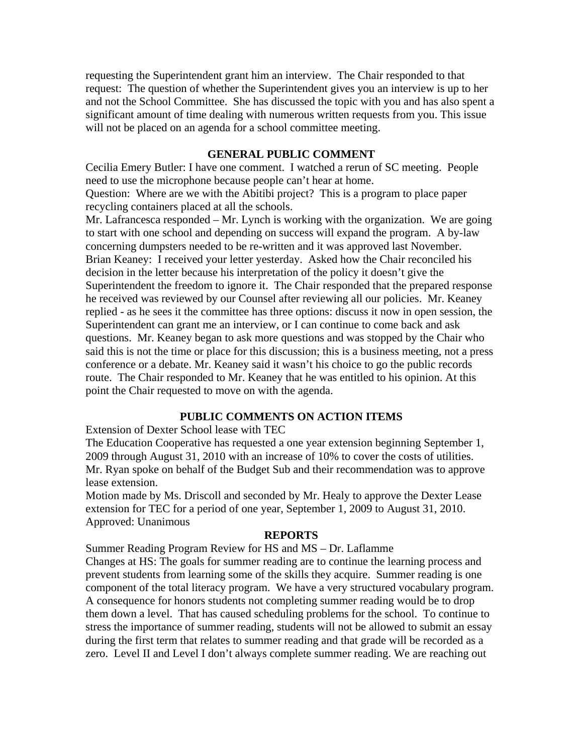requesting the Superintendent grant him an interview. The Chair responded to that request: The question of whether the Superintendent gives you an interview is up to her and not the School Committee. She has discussed the topic with you and has also spent a significant amount of time dealing with numerous written requests from you. This issue will not be placed on an agenda for a school committee meeting.

### **GENERAL PUBLIC COMMENT**

Cecilia Emery Butler: I have one comment. I watched a rerun of SC meeting. People need to use the microphone because people can't hear at home. Question: Where are we with the Abitibi project? This is a program to place paper

recycling containers placed at all the schools.

Mr. Lafrancesca responded – Mr. Lynch is working with the organization. We are going to start with one school and depending on success will expand the program. A by-law concerning dumpsters needed to be re-written and it was approved last November. Brian Keaney: I received your letter yesterday. Asked how the Chair reconciled his decision in the letter because his interpretation of the policy it doesn't give the Superintendent the freedom to ignore it. The Chair responded that the prepared response he received was reviewed by our Counsel after reviewing all our policies. Mr. Keaney replied - as he sees it the committee has three options: discuss it now in open session, the Superintendent can grant me an interview, or I can continue to come back and ask questions. Mr. Keaney began to ask more questions and was stopped by the Chair who said this is not the time or place for this discussion; this is a business meeting, not a press conference or a debate. Mr. Keaney said it wasn't his choice to go the public records route. The Chair responded to Mr. Keaney that he was entitled to his opinion. At this point the Chair requested to move on with the agenda.

# **PUBLIC COMMENTS ON ACTION ITEMS**

Extension of Dexter School lease with TEC

The Education Cooperative has requested a one year extension beginning September 1, 2009 through August 31, 2010 with an increase of 10% to cover the costs of utilities. Mr. Ryan spoke on behalf of the Budget Sub and their recommendation was to approve lease extension.

Motion made by Ms. Driscoll and seconded by Mr. Healy to approve the Dexter Lease extension for TEC for a period of one year, September 1, 2009 to August 31, 2010. Approved: Unanimous

#### **REPORTS**

Summer Reading Program Review for HS and MS – Dr. Laflamme Changes at HS: The goals for summer reading are to continue the learning process and prevent students from learning some of the skills they acquire. Summer reading is one component of the total literacy program. We have a very structured vocabulary program. A consequence for honors students not completing summer reading would be to drop them down a level. That has caused scheduling problems for the school. To continue to stress the importance of summer reading, students will not be allowed to submit an essay during the first term that relates to summer reading and that grade will be recorded as a zero. Level II and Level I don't always complete summer reading. We are reaching out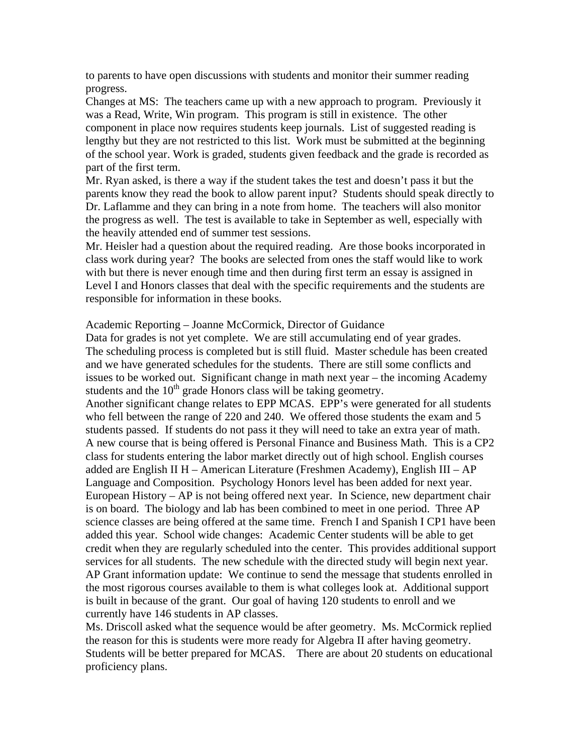to parents to have open discussions with students and monitor their summer reading progress.

Changes at MS: The teachers came up with a new approach to program. Previously it was a Read, Write, Win program. This program is still in existence. The other component in place now requires students keep journals. List of suggested reading is lengthy but they are not restricted to this list. Work must be submitted at the beginning of the school year. Work is graded, students given feedback and the grade is recorded as part of the first term.

Mr. Ryan asked, is there a way if the student takes the test and doesn't pass it but the parents know they read the book to allow parent input? Students should speak directly to Dr. Laflamme and they can bring in a note from home. The teachers will also monitor the progress as well. The test is available to take in September as well, especially with the heavily attended end of summer test sessions.

Mr. Heisler had a question about the required reading. Are those books incorporated in class work during year? The books are selected from ones the staff would like to work with but there is never enough time and then during first term an essay is assigned in Level I and Honors classes that deal with the specific requirements and the students are responsible for information in these books.

#### Academic Reporting – Joanne McCormick, Director of Guidance

Data for grades is not yet complete. We are still accumulating end of year grades. The scheduling process is completed but is still fluid. Master schedule has been created and we have generated schedules for the students. There are still some conflicts and issues to be worked out. Significant change in math next year – the incoming Academy students and the  $10<sup>th</sup>$  grade Honors class will be taking geometry.

Another significant change relates to EPP MCAS. EPP's were generated for all students who fell between the range of 220 and 240. We offered those students the exam and 5 students passed. If students do not pass it they will need to take an extra year of math. A new course that is being offered is Personal Finance and Business Math. This is a CP2 class for students entering the labor market directly out of high school. English courses added are English II H – American Literature (Freshmen Academy), English III – AP Language and Composition. Psychology Honors level has been added for next year. European History – AP is not being offered next year. In Science, new department chair is on board. The biology and lab has been combined to meet in one period. Three AP science classes are being offered at the same time. French I and Spanish I CP1 have been added this year. School wide changes: Academic Center students will be able to get credit when they are regularly scheduled into the center. This provides additional support services for all students. The new schedule with the directed study will begin next year. AP Grant information update: We continue to send the message that students enrolled in the most rigorous courses available to them is what colleges look at. Additional support is built in because of the grant. Our goal of having 120 students to enroll and we currently have 146 students in AP classes.

Ms. Driscoll asked what the sequence would be after geometry. Ms. McCormick replied the reason for this is students were more ready for Algebra II after having geometry. Students will be better prepared for MCAS. There are about 20 students on educational proficiency plans.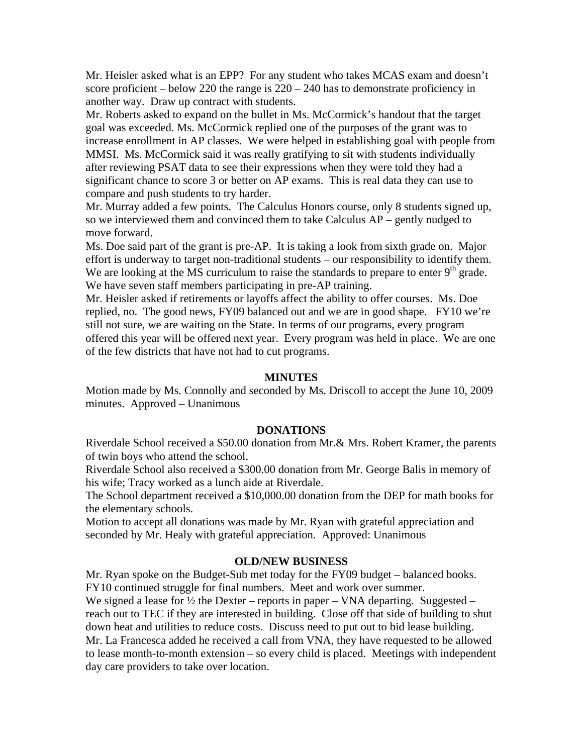Mr. Heisler asked what is an EPP? For any student who takes MCAS exam and doesn't score proficient – below 220 the range is 220 – 240 has to demonstrate proficiency in another way. Draw up contract with students.

Mr. Roberts asked to expand on the bullet in Ms. McCormick's handout that the target goal was exceeded. Ms. McCormick replied one of the purposes of the grant was to increase enrollment in AP classes. We were helped in establishing goal with people from MMSI. Ms. McCormick said it was really gratifying to sit with students individually after reviewing PSAT data to see their expressions when they were told they had a significant chance to score 3 or better on AP exams. This is real data they can use to compare and push students to try harder.

Mr. Murray added a few points. The Calculus Honors course, only 8 students signed up, so we interviewed them and convinced them to take Calculus AP – gently nudged to move forward.

Ms. Doe said part of the grant is pre-AP. It is taking a look from sixth grade on. Major effort is underway to target non-traditional students – our responsibility to identify them. We are looking at the MS curriculum to raise the standards to prepare to enter  $9<sup>th</sup>$  grade. We have seven staff members participating in pre-AP training.

Mr. Heisler asked if retirements or layoffs affect the ability to offer courses. Ms. Doe replied, no. The good news, FY09 balanced out and we are in good shape. FY10 we're still not sure, we are waiting on the State. In terms of our programs, every program offered this year will be offered next year. Every program was held in place. We are one of the few districts that have not had to cut programs.

### **MINUTES**

Motion made by Ms. Connolly and seconded by Ms. Driscoll to accept the June 10, 2009 minutes. Approved – Unanimous

#### **DONATIONS**

Riverdale School received a \$50.00 donation from Mr.& Mrs. Robert Kramer, the parents of twin boys who attend the school.

Riverdale School also received a \$300.00 donation from Mr. George Balis in memory of his wife; Tracy worked as a lunch aide at Riverdale.

The School department received a \$10,000.00 donation from the DEP for math books for the elementary schools.

Motion to accept all donations was made by Mr. Ryan with grateful appreciation and seconded by Mr. Healy with grateful appreciation. Approved: Unanimous

### **OLD/NEW BUSINESS**

Mr. Ryan spoke on the Budget-Sub met today for the FY09 budget – balanced books. FY10 continued struggle for final numbers. Meet and work over summer.

We signed a lease for  $\frac{1}{2}$  the Dexter – reports in paper – VNA departing. Suggested – reach out to TEC if they are interested in building. Close off that side of building to shut down heat and utilities to reduce costs. Discuss need to put out to bid lease building. Mr. La Francesca added he received a call from VNA, they have requested to be allowed to lease month-to-month extension – so every child is placed. Meetings with independent day care providers to take over location.